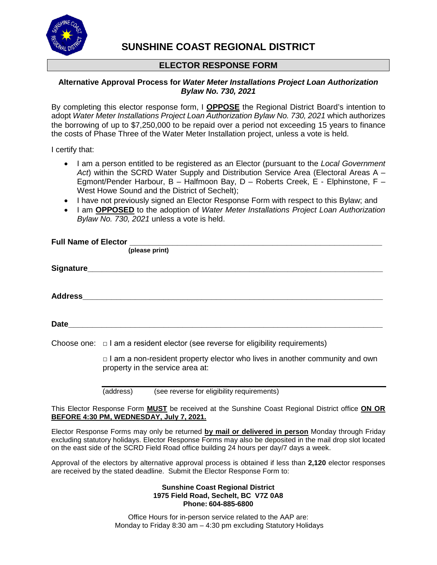

# **SUNSHINE COAST REGIONAL DISTRICT**

# **ELECTOR RESPONSE FORM**

### **Alternative Approval Process for** *Water Meter Installations Project Loan Authorization Bylaw No. 730, 2021*

By completing this elector response form, I **OPPOSE** the Regional District Board's intention to adopt *Water Meter Installations Project Loan Authorization Bylaw No. 730, 2021* which authorizes the borrowing of up to \$7,250,000 to be repaid over a period not exceeding 15 years to finance the costs of Phase Three of the Water Meter Installation project, unless a vote is held.

I certify that:

- I am a person entitled to be registered as an Elector (pursuant to the *Local Government Act*) within the SCRD Water Supply and Distribution Service Area (Electoral Areas A – Egmont/Pender Harbour, B – Halfmoon Bay, D – Roberts Creek, E - Elphinstone, F – West Howe Sound and the District of Sechelt);
- I have not previously signed an Elector Response Form with respect to this Bylaw; and
- I am **OPPOSED** to the adoption of *Water Meter Installations Project Loan Authorization Bylaw No. 730, 2021* unless a vote is held.

|  | (please print)                                                                                                         |
|--|------------------------------------------------------------------------------------------------------------------------|
|  |                                                                                                                        |
|  |                                                                                                                        |
|  |                                                                                                                        |
|  | Choose one: $\Box$ I am a resident elector (see reverse for eligibility requirements)                                  |
|  | $\Box$ I am a non-resident property elector who lives in another community and own<br>property in the service area at: |

(address) (see reverse for eligibility requirements)

This Elector Response Form **MUST** be received at the Sunshine Coast Regional District office **ON OR BEFORE 4:30 PM, WEDNESDAY, July 7, 2021.**

Elector Response Forms may only be returned **by mail or delivered in person** Monday through Friday excluding statutory holidays. Elector Response Forms may also be deposited in the mail drop slot located on the east side of the SCRD Field Road office building 24 hours per day/7 days a week.

Approval of the electors by alternative approval process is obtained if less than **2,120** elector responses are received by the stated deadline. Submit the Elector Response Form to:

#### **Sunshine Coast Regional District 1975 Field Road, Sechelt, BC V7Z 0A8 Phone: 604-885-6800**

Office Hours for in-person service related to the AAP are: Monday to Friday 8:30 am – 4:30 pm excluding Statutory Holidays